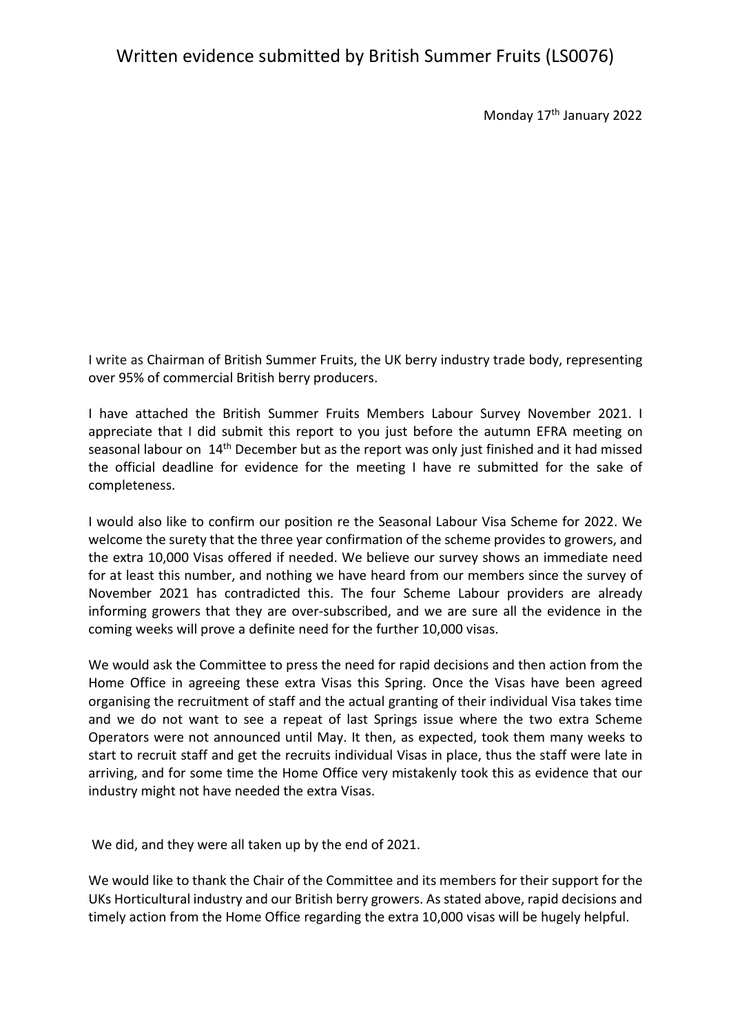### Written evidence submitted by British Summer Fruits (LS0076)

Monday 17<sup>th</sup> January 2022

I write as Chairman of British Summer Fruits, the UK berry industry trade body, representing over 95% of commercial British berry producers.

I have attached the British Summer Fruits Members Labour Survey November 2021. I appreciate that I did submit this report to you just before the autumn EFRA meeting on seasonal labour on 14th December but as the report was only just finished and it had missed the official deadline for evidence for the meeting I have re submitted for the sake of completeness.

I would also like to confirm our position re the Seasonal Labour Visa Scheme for 2022. We welcome the surety that the three year confirmation of the scheme provides to growers, and the extra 10,000 Visas offered if needed. We believe our survey shows an immediate need for at least this number, and nothing we have heard from our members since the survey of November 2021 has contradicted this. The four Scheme Labour providers are already informing growers that they are over-subscribed, and we are sure all the evidence in the coming weeks will prove a definite need for the further 10,000 visas.

We would ask the Committee to press the need for rapid decisions and then action from the Home Office in agreeing these extra Visas this Spring. Once the Visas have been agreed organising the recruitment of staff and the actual granting of their individual Visa takes time and we do not want to see a repeat of last Springs issue where the two extra Scheme Operators were not announced until May. It then, as expected, took them many weeks to start to recruit staff and get the recruits individual Visas in place, thus the staff were late in arriving, and for some time the Home Office very mistakenly took this as evidence that our industry might not have needed the extra Visas.

We did, and they were all taken up by the end of 2021.

We would like to thank the Chair of the Committee and its members for their support for the UKs Horticultural industry and our British berry growers. As stated above, rapid decisions and timely action from the Home Office regarding the extra 10,000 visas will be hugely helpful.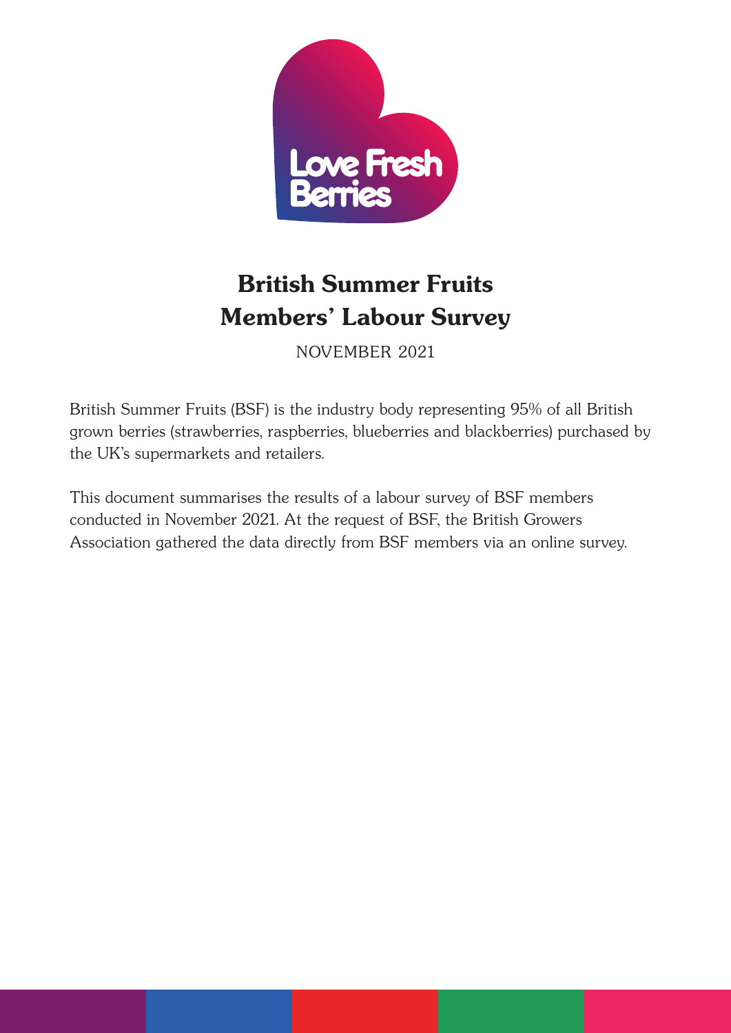

# British Summer Fruits Members' Labour Survey

November 2021

British Summer Fruits (BSF) is the industry body representing 95% of all British grown berries (strawberries, raspberries, blueberries and blackberries) purchased by the UK's supermarkets and retailers.

This document summarises the results of a labour survey of BSF members conducted in November 2021. At the request of BSF, the British Growers Association gathered the data directly from BSF members via an online survey.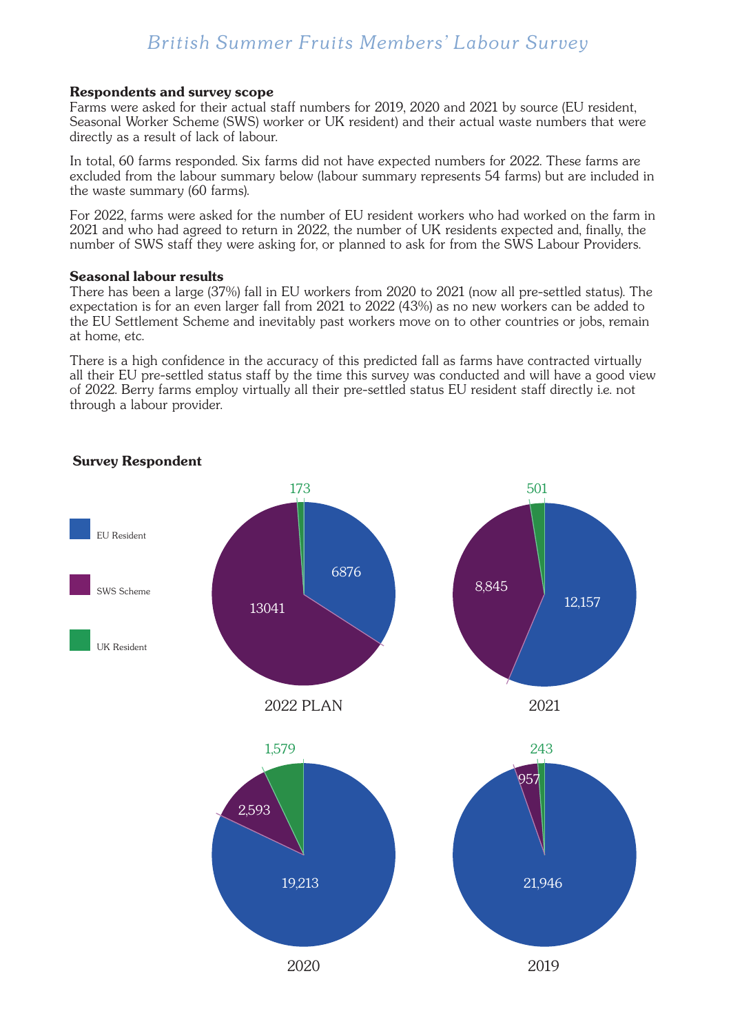## *British Summer Fruits Members' Labour Survey*

#### Respondents and survey scope

Farms were asked for their actual staff numbers for 2019, 2020 and 2021 by source (EU resident, Seasonal Worker Scheme (SWS) worker or UK resident) and their actual waste numbers that were directly as a result of lack of labour.

In total, 60 farms responded. Six farms did not have expected numbers for 2022. These farms are excluded from the labour summary below (labour summary represents 54 farms) but are included in the waste summary (60 farms).

For 2022, farms were asked for the number of EU resident workers who had worked on the farm in 2021 and who had agreed to return in 2022, the number of UK residents expected and, finally, the number of SWS staff they were asking for, or planned to ask for from the SWS Labour Providers.

#### Seasonal labour results

There has been a large (37%) fall in EU workers from 2020 to 2021 (now all pre-settled status). The expectation is for an even larger fall from 2021 to 2022 (43%) as no new workers can be added to the EU Settlement Scheme and inevitably past workers move on to other countries or jobs, remain at home, etc.

There is a high confidence in the accuracy of this predicted fall as farms have contracted virtually all their EU pre-settled status staff by the time this survey was conducted and will have a good view of 2022. Berry farms employ virtually all their pre-settled status EU resident staff directly i.e. not through a labour provider.



#### Survey Respondent